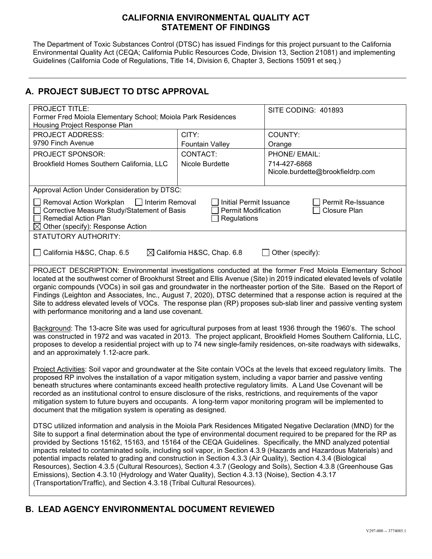### **CALIFORNIA ENVIRONMENTAL QUALITY ACT STATEMENT OF FINDINGS**

The Department of Toxic Substances Control (DTSC) has issued Findings for this project pursuant to the California Environmental Quality Act (CEQA; California Public Resources Code, Division 13, Section 21081) and implementing Guidelines (California Code of Regulations, Title 14, Division 6, Chapter 3, Sections 15091 et seq.)

## **A. PROJECT SUBJECT TO DTSC APPROVAL**

| <b>PROJECT TITLE:</b><br>Former Fred Moiola Elementary School; Moiola Park Residences<br>Housing Project Response Plan                                                                                                                                                                                                                                                                                                                                                                                                                                                                                                                                                                                                                                                                                                                                                                                                                                                                                                                 |                                                       | SITE CODING: 401893                                                         |  |  |  |
|----------------------------------------------------------------------------------------------------------------------------------------------------------------------------------------------------------------------------------------------------------------------------------------------------------------------------------------------------------------------------------------------------------------------------------------------------------------------------------------------------------------------------------------------------------------------------------------------------------------------------------------------------------------------------------------------------------------------------------------------------------------------------------------------------------------------------------------------------------------------------------------------------------------------------------------------------------------------------------------------------------------------------------------|-------------------------------------------------------|-----------------------------------------------------------------------------|--|--|--|
| <b>PROJECT ADDRESS:</b><br>9790 Finch Avenue                                                                                                                                                                                                                                                                                                                                                                                                                                                                                                                                                                                                                                                                                                                                                                                                                                                                                                                                                                                           | CITY:                                                 | COUNTY:                                                                     |  |  |  |
| <b>PROJECT SPONSOR:</b><br>Brookfield Homes Southern California, LLC                                                                                                                                                                                                                                                                                                                                                                                                                                                                                                                                                                                                                                                                                                                                                                                                                                                                                                                                                                   | <b>Fountain Valley</b><br>CONTACT:<br>Nicole Burdette | Orange<br>PHONE/ EMAIL:<br>714-427-6868<br>Nicole.burdette@brookfieldrp.com |  |  |  |
| Approval Action Under Consideration by DTSC:                                                                                                                                                                                                                                                                                                                                                                                                                                                                                                                                                                                                                                                                                                                                                                                                                                                                                                                                                                                           |                                                       |                                                                             |  |  |  |
| Removal Action Workplan<br><b>□ Interim Removal</b><br>Initial Permit Issuance<br>Permit Re-Issuance<br>Corrective Measure Study/Statement of Basis<br><b>Permit Modification</b><br><b>Closure Plan</b><br><b>Remedial Action Plan</b><br>Regulations<br>$\boxtimes$ Other (specify): Response Action                                                                                                                                                                                                                                                                                                                                                                                                                                                                                                                                                                                                                                                                                                                                 |                                                       |                                                                             |  |  |  |
| <b>STATUTORY AUTHORITY:</b>                                                                                                                                                                                                                                                                                                                                                                                                                                                                                                                                                                                                                                                                                                                                                                                                                                                                                                                                                                                                            |                                                       |                                                                             |  |  |  |
| California H&SC, Chap. 6.5<br>$\boxtimes$ California H&SC, Chap. 6.8<br>$\Box$ Other (specify):                                                                                                                                                                                                                                                                                                                                                                                                                                                                                                                                                                                                                                                                                                                                                                                                                                                                                                                                        |                                                       |                                                                             |  |  |  |
| PROJECT DESCRIPTION: Environmental investigations conducted at the former Fred Moiola Elementary School<br>located at the southwest corner of Brookhurst Street and Ellis Avenue (Site) in 2019 indicated elevated levels of volatile<br>organic compounds (VOCs) in soil gas and groundwater in the northeaster portion of the Site. Based on the Report of<br>Findings (Leighton and Associates, Inc., August 7, 2020), DTSC determined that a response action is required at the<br>Site to address elevated levels of VOCs. The response plan (RP) proposes sub-slab liner and passive venting system<br>with performance monitoring and a land use covenant.<br>Background: The 13-acre Site was used for agricultural purposes from at least 1936 through the 1960's. The school<br>was constructed in 1972 and was vacated in 2013. The project applicant, Brookfield Homes Southern California, LLC,<br>proposes to develop a residential project with up to 74 new single-family residences, on-site roadways with sidewalks, |                                                       |                                                                             |  |  |  |
| and an approximately 1.12-acre park.                                                                                                                                                                                                                                                                                                                                                                                                                                                                                                                                                                                                                                                                                                                                                                                                                                                                                                                                                                                                   |                                                       |                                                                             |  |  |  |
| Project Activities: Soil vapor and groundwater at the Site contain VOCs at the levels that exceed regulatory limits. The<br>proposed RP involves the installation of a vapor mitigation system, including a vapor barrier and passive venting<br>beneath structures where contaminants exceed health protective regulatory limits. A Land Use Covenant will be<br>recorded as an institutional control to ensure disclosure of the risks, restrictions, and requirements of the vapor<br>mitigation system to future buyers and occupants. A long-term vapor monitoring program will be implemented to<br>document that the mitigation system is operating as designed.                                                                                                                                                                                                                                                                                                                                                                |                                                       |                                                                             |  |  |  |
| DTSC utilized information and analysis in the Moiola Park Residences Mitigated Negative Declaration (MND) for the<br>Site to support a final determination about the type of environmental document required to be prepared for the RP as<br>provided by Sections 15162, 15163, and 15164 of the CEQA Guidelines. Specifically, the MND analyzed potential<br>impacts related to contaminated soils, including soil vapor, in Section 4.3.9 (Hazards and Hazardous Materials) and<br>potential impacts related to grading and construction in Section 4.3.3 (Air Quality), Section 4.3.4 (Biological<br>Resources), Section 4.3.5 (Cultural Resources), Section 4.3.7 (Geology and Soils), Section 4.3.8 (Greenhouse Gas<br>Emissions), Section 4.3.10 (Hydrology and Water Quality), Section 4.3.13 (Noise), Section 4.3.17<br>(Transportation/Traffic), and Section 4.3.18 (Tribal Cultural Resources).                                                                                                                              |                                                       |                                                                             |  |  |  |

# **B. LEAD AGENCY ENVIRONMENTAL DOCUMENT REVIEWED**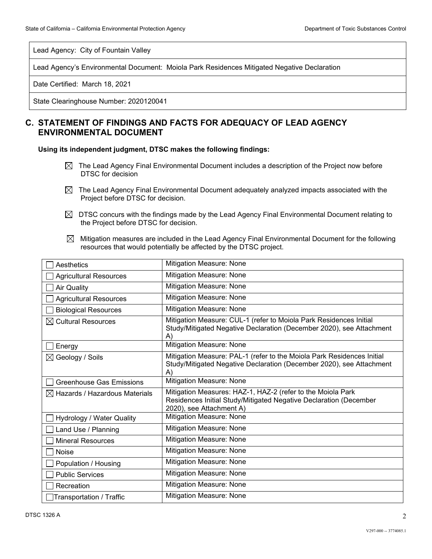Lead Agency: City of Fountain Valley

Lead Agency's Environmental Document: Moiola Park Residences Mitigated Negative Declaration

Date Certified: March 18, 2021

State Clearinghouse Number: 2020120041

### **C. STATEMENT OF FINDINGS AND FACTS FOR ADEQUACY OF LEAD AGENCY ENVIRONMENTAL DOCUMENT**

**Using its independent judgment, DTSC makes the following findings:**

- $\boxtimes$  The Lead Agency Final Environmental Document includes a description of the Project now before DTSC for decision
- $\boxtimes$  The Lead Agency Final Environmental Document adequately analyzed impacts associated with the Project before DTSC for decision.
- $\boxtimes$  DTSC concurs with the findings made by the Lead Agency Final Environmental Document relating to the Project before DTSC for decision.
- $\boxtimes$  Mitigation measures are included in the Lead Agency Final Environmental Document for the following resources that would potentially be affected by the DTSC project.

| Aesthetics                                | Mitigation Measure: None                                                                                                                                       |
|-------------------------------------------|----------------------------------------------------------------------------------------------------------------------------------------------------------------|
| <b>Agricultural Resources</b>             | Mitigation Measure: None                                                                                                                                       |
| <b>Air Quality</b>                        | Mitigation Measure: None                                                                                                                                       |
| <b>Agricultural Resources</b>             | Mitigation Measure: None                                                                                                                                       |
| <b>Biological Resources</b>               | Mitigation Measure: None                                                                                                                                       |
| $\boxtimes$ Cultural Resources            | Mitigation Measure: CUL-1 (refer to Moiola Park Residences Initial<br>Study/Mitigated Negative Declaration (December 2020), see Attachment<br>A)               |
| Energy                                    | Mitigation Measure: None                                                                                                                                       |
| $\boxtimes$ Geology / Soils               | Mitigation Measure: PAL-1 (refer to the Moiola Park Residences Initial<br>Study/Mitigated Negative Declaration (December 2020), see Attachment<br>$\mathsf{A}$ |
| Greenhouse Gas Emissions                  | Mitigation Measure: None                                                                                                                                       |
| $\boxtimes$ Hazards / Hazardous Materials | Mitigation Measures: HAZ-1, HAZ-2 (refer to the Moiola Park<br>Residences Initial Study/Mitigated Negative Declaration (December<br>2020), see Attachment A)   |
| Hydrology / Water Quality                 | <b>Mitigation Measure: None</b>                                                                                                                                |
| Land Use / Planning                       | Mitigation Measure: None                                                                                                                                       |
| <b>Mineral Resources</b>                  | Mitigation Measure: None                                                                                                                                       |
| <b>Noise</b>                              | Mitigation Measure: None                                                                                                                                       |
| Population / Housing                      | Mitigation Measure: None                                                                                                                                       |
| <b>Public Services</b>                    | <b>Mitigation Measure: None</b>                                                                                                                                |
| Recreation                                | Mitigation Measure: None                                                                                                                                       |
| Transportation / Traffic                  | <b>Mitigation Measure: None</b>                                                                                                                                |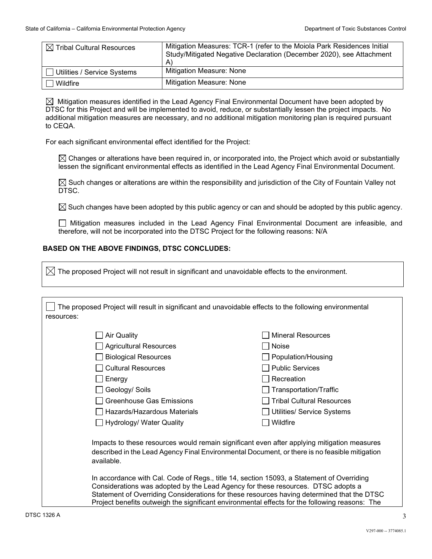| $\boxtimes$ Tribal Cultural Resources | Mitigation Measures: TCR-1 (refer to the Moiola Park Residences Initial<br>Study/Mitigated Negative Declaration (December 2020), see Attachment<br>$\mathsf{A}$ |
|---------------------------------------|-----------------------------------------------------------------------------------------------------------------------------------------------------------------|
| Utilities / Service Systems           | <b>Mitigation Measure: None</b>                                                                                                                                 |
| $\Box$ Wildfire                       | <b>Mitigation Measure: None</b>                                                                                                                                 |

 $\boxtimes$  Mitigation measures identified in the Lead Agency Final Environmental Document have been adopted by DTSC for this Project and will be implemented to avoid, reduce, or substantially lessen the project impacts. No additional mitigation measures are necessary, and no additional mitigation monitoring plan is required pursuant to CEQA.

For each significant environmental effect identified for the Project:

 $\boxtimes$  Changes or alterations have been required in, or incorporated into, the Project which avoid or substantially lessen the significant environmental effects as identified in the Lead Agency Final Environmental Document.

 $\boxtimes$  Such changes or alterations are within the responsibility and jurisdiction of the City of Fountain Valley not DTSC.

 $\boxtimes$  Such changes have been adopted by this public agency or can and should be adopted by this public agency.

Mitigation measures included in the Lead Agency Final Environmental Document are infeasible, and therefore, will not be incorporated into the DTSC Project for the following reasons: N/A

#### **BASED ON THE ABOVE FINDINGS, DTSC CONCLUDES:**

 $\boxtimes$  The proposed Project will not result in significant and unavoidable effects to the environment.

| The proposed Project will result in significant and unavoidable effects to the following environmental                                                                                                                                                                                                                                                                        |                                  |  |  |  |
|-------------------------------------------------------------------------------------------------------------------------------------------------------------------------------------------------------------------------------------------------------------------------------------------------------------------------------------------------------------------------------|----------------------------------|--|--|--|
| resources:                                                                                                                                                                                                                                                                                                                                                                    |                                  |  |  |  |
| $\Box$ Air Quality                                                                                                                                                                                                                                                                                                                                                            | <b>Mineral Resources</b>         |  |  |  |
| □ Agricultural Resources                                                                                                                                                                                                                                                                                                                                                      | <b>Noise</b>                     |  |  |  |
| <b>Biological Resources</b>                                                                                                                                                                                                                                                                                                                                                   | Population/Housing               |  |  |  |
| Cultural Resources                                                                                                                                                                                                                                                                                                                                                            | <b>Public Services</b>           |  |  |  |
| $\Box$ Energy                                                                                                                                                                                                                                                                                                                                                                 | Recreation                       |  |  |  |
| □ Geology/ Soils                                                                                                                                                                                                                                                                                                                                                              | Transportation/Traffic           |  |  |  |
| <b>Greenhouse Gas Emissions</b>                                                                                                                                                                                                                                                                                                                                               | <b>Tribal Cultural Resources</b> |  |  |  |
| Hazards/Hazardous Materials                                                                                                                                                                                                                                                                                                                                                   | Utilities/ Service Systems       |  |  |  |
| □ Hydrology/ Water Quality                                                                                                                                                                                                                                                                                                                                                    | Wildfire                         |  |  |  |
| Impacts to these resources would remain significant even after applying mitigation measures<br>described in the Lead Agency Final Environmental Document, or there is no feasible mitigation<br>available.                                                                                                                                                                    |                                  |  |  |  |
| In accordance with Cal. Code of Regs., title 14, section 15093, a Statement of Overriding<br>Considerations was adopted by the Lead Agency for these resources. DTSC adopts a<br>Statement of Overriding Considerations for these resources having determined that the DTSC<br>Project benefits outweigh the significant environmental effects for the following reasons: The |                                  |  |  |  |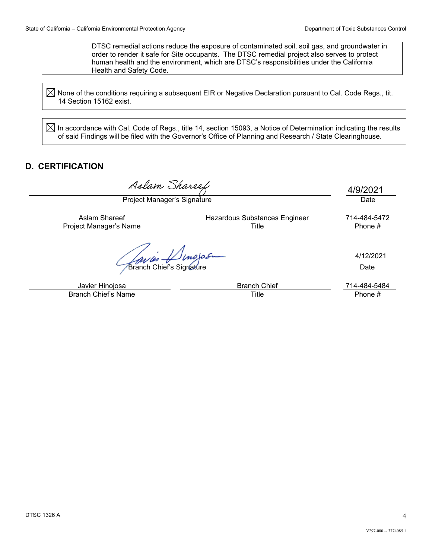DTSC remedial actions reduce the exposure of contaminated soil, soil gas, and groundwater in order to render it safe for Site occupants. The DTSC remedial project also serves to protect human health and the environment, which are DTSC's responsibilities under the California Health and Safety Code.

 $\boxtimes$  None of the conditions requiring a subsequent EIR or Negative Declaration pursuant to Cal. Code Regs., tit. 14 Section 15162 exist.

 $\boxtimes$  In accordance with Cal. Code of Regs., title 14, section 15093, a Notice of Determination indicating the results of said Findings will be filed with the Governor's Office of Planning and Research / State Clearinghouse.

## **D. CERTIFICATION**

Aslam Shareef Project Manager's Signature Date Date Date Date Date Date

4/9/2021

| Aslam Shareef          | Hazardous Substances Engineer | 714-484-5472 |
|------------------------|-------------------------------|--------------|
| Project Manager's Name | `itle                         | Phone        |

**Branch Chief's Signature Date** Date

Javier Hinojosa Branch Chief 714-484-5484 Branch Chief's Name Title Title **Title** Phone #

4/12/2021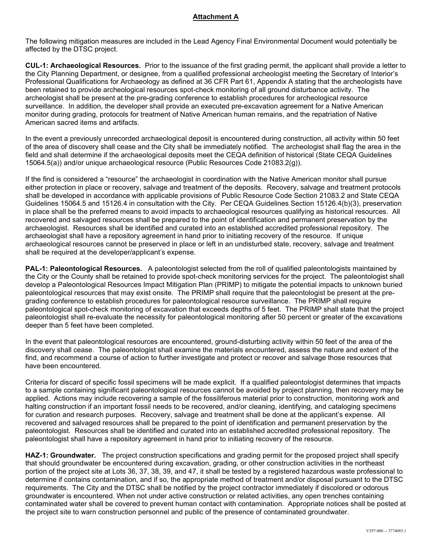#### **Attachment A**

The following mitigation measures are included in the Lead Agency Final Environmental Document would potentially be affected by the DTSC project.

**CUL-1: Archaeological Resources.** Prior to the issuance of the first grading permit, the applicant shall provide a letter to the City Planning Department, or designee, from a qualified professional archeologist meeting the Secretary of Interior's Professional Qualifications for Archaeology as defined at 36 CFR Part 61, Appendix A stating that the archeologists have been retained to provide archeological resources spot-check monitoring of all ground disturbance activity. The archeologist shall be present at the pre-grading conference to establish procedures for archeological resource surveillance. In addition, the developer shall provide an executed pre-excavation agreement for a Native American monitor during grading, protocols for treatment of Native American human remains, and the repatriation of Native American sacred items and artifacts.

In the event a previously unrecorded archaeological deposit is encountered during construction, all activity within 50 feet of the area of discovery shall cease and the City shall be immediately notified. The archeologist shall flag the area in the field and shall determine if the archaeological deposits meet the CEQA definition of historical (State CEQA Guidelines 15064.5(a)) and/or unique archaeological resource (Public Resources Code 21083.2(g)).

If the find is considered a "resource" the archaeologist in coordination with the Native American monitor shall pursue either protection in place or recovery, salvage and treatment of the deposits. Recovery, salvage and treatment protocols shall be developed in accordance with applicable provisions of Public Resource Code Section 21083.2 and State CEQA Guidelines 15064.5 and 15126.4 in consultation with the City. Per CEQA Guidelines Section 15126.4(b)(3), preservation in place shall be the preferred means to avoid impacts to archaeological resources qualifying as historical resources. All recovered and salvaged resources shall be prepared to the point of identification and permanent preservation by the archaeologist. Resources shall be identified and curated into an established accredited professional repository. The archaeologist shall have a repository agreement in hand prior to initiating recovery of the resource. If unique archaeological resources cannot be preserved in place or left in an undisturbed state, recovery, salvage and treatment shall be required at the developer/applicant's expense.

**PAL-1: Paleontological Resources.** A paleontologist selected from the roll of qualified paleontologists maintained by the City or the County shall be retained to provide spot-check monitoring services for the project. The paleontologist shall develop a Paleontological Resources Impact Mitigation Plan (PRIMP) to mitigate the potential impacts to unknown buried paleontological resources that may exist onsite. The PRIMP shall require that the paleontologist be present at the pregrading conference to establish procedures for paleontological resource surveillance. The PRIMP shall require paleontological spot-check monitoring of excavation that exceeds depths of 5 feet. The PRIMP shall state that the project paleontologist shall re-evaluate the necessity for paleontological monitoring after 50 percent or greater of the excavations deeper than 5 feet have been completed.

In the event that paleontological resources are encountered, ground-disturbing activity within 50 feet of the area of the discovery shall cease. The paleontologist shall examine the materials encountered, assess the nature and extent of the find, and recommend a course of action to further investigate and protect or recover and salvage those resources that have been encountered.

Criteria for discard of specific fossil specimens will be made explicit. If a qualified paleontologist determines that impacts to a sample containing significant paleontological resources cannot be avoided by project planning, then recovery may be applied. Actions may include recovering a sample of the fossiliferous material prior to construction, monitoring work and halting construction if an important fossil needs to be recovered, and/or cleaning, identifying, and cataloging specimens for curation and research purposes. Recovery, salvage and treatment shall be done at the applicant's expense. All recovered and salvaged resources shall be prepared to the point of identification and permanent preservation by the paleontologist. Resources shall be identified and curated into an established accredited professional repository. The paleontologist shall have a repository agreement in hand prior to initiating recovery of the resource.

**HAZ-1: Groundwater.** The project construction specifications and grading permit for the proposed project shall specify that should groundwater be encountered during excavation, grading, or other construction activities in the northeast portion of the project site at Lots 36, 37, 38, 39, and 47, it shall be tested by a registered hazardous waste professional to determine if contains contamination, and if so, the appropriate method of treatment and/or disposal pursuant to the DTSC requirements. The City and the DTSC shall be notified by the project contractor immediately if discolored or odorous groundwater is encountered. When not under active construction or related activities, any open trenches containing contaminated water shall be covered to prevent human contact with contamination. Appropriate notices shall be posted at the project site to warn construction personnel and public of the presence of contaminated groundwater.